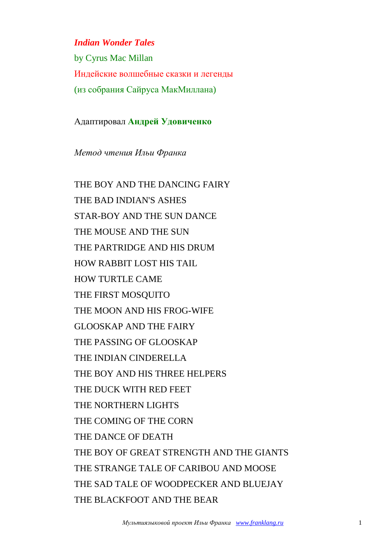#### *Indian Wonder Tales*

by [Cyrus Mac Millan](http://www.mainlesson.com/author.php?author=macmillan) Индейские волшебные сказки и легенды (из собрания Сайруса МакМиллана)

Адаптировал **Андрей Удовиченко**

*Метод чтения Ильи Франка*

THE BOY AND THE DANCING FAIRY THE BAD INDIAN'S ASHES STAR-BOY AND THE SUN DANCE THE MOUSE AND THE SUN THE PARTRIDGE AND HIS DRUM HOW RABBIT LOST HIS TAIL HOW TURTLE CAME THE FIRST MOSQUITO THE MOON AND HIS FROG-WIFE GLOOSKAP AND THE FAIRY THE PASSING OF GLOOSKAP THE INDIAN CINDERELLA THE BOY AND HIS THREE HELPERS THE DUCK WITH RED FEET THE NORTHERN LIGHTS THE COMING OF THE CORN THE DANCE OF DEATH THE BOY OF GREAT STRENGTH AND THE GIANTS THE STRANGE TALE OF CARIBOU AND MOOSE THE SAD TALE OF WOODPECKER AND BLUEJAY THE BLACKFOOT AND THE BEAR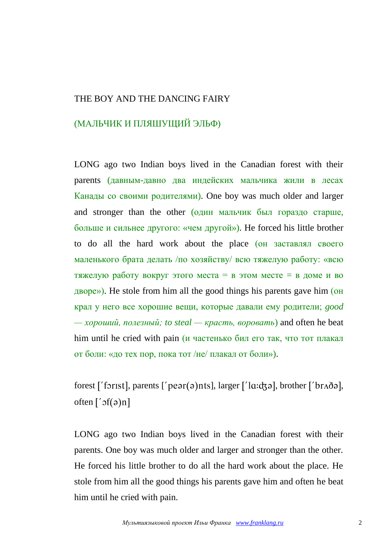#### THE BOY AND THE DANCING FAIRY

#### (МАЛЬЧИК И ПЛЯШУЩИЙ ЭЛЬФ)

LONG ago two Indian boys lived in the Canadian forest with their parents (давным-давно два индейских мальчика жили в лесах Канады со своими родителями). One boy was much older and larger and stronger than the other (один мальчик был гораздо старше, больше и сильнее другого: «чем другой»). He forced his little brother to do all the hard work about the place (он заставлял своего маленького брата делать /по хозяйству/ всю тяжелую работу: «всю тяжелую работу вокруг этого места = в этом месте = в доме и во дворе»). He stole from him all the good things his parents gave him (он крал у него все хорошие вещи, которые давали ему родители; *good — хороший, полезный; to steal — красть, воровать*) and often he beat him until he cried with pain (и частенько бил его так, что тот плакал от боли: «до тех пор, пока тот /не/ плакал от боли»).

forest ['forist], parents ['peər(ə)nts], larger ['lɑ:ʤə], brother ['brʌðə], often  $['of(\theta)n]$ 

LONG ago two Indian boys lived in the Canadian forest with their parents. One boy was much older and larger and stronger than the other. He forced his little brother to do all the hard work about the place. He stole from him all the good things his parents gave him and often he beat him until he cried with pain.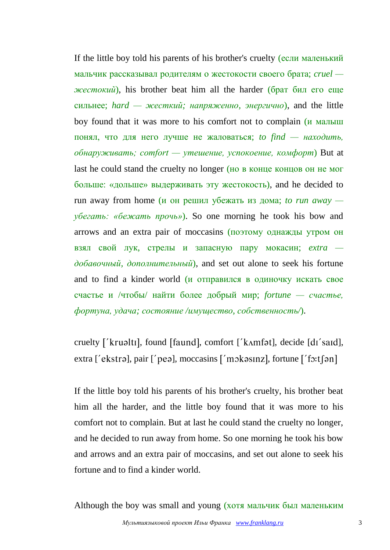If the little boy told his parents of his brother's cruelty (если маленький мальчик рассказывал родителям о жестокости своего брата; *cruel жестокий*), his brother beat him all the harder (брат бил его еще сильнее; *hard — жесткий; напряженно, энергично*), and the little boy found that it was more to his comfort not to complain (и малыш понял, что для него лучше не жаловаться; *to find — находить, обнаруживать; comfort — утешение, успокоение, комфорт*) But at last he could stand the cruelty no longer (но в конце концов он не мог больше: «дольше» выдерживать эту жестокость), and he decided to run away from home (и он решил убежать из дома; *to run away убегать: «бежать прочь»*). So one morning he took his bow and arrows and an extra pair of moccasins (поэтому однажды утром он взял свой лук, стрелы и запасную пару мокасин; *extra добавочный, дополнительный*), and set out alone to seek his fortune and to find a kinder world (и отправился в одиночку искать свое счастье и /чтобы/ найти более добрый мир; *fortune — счастье, фортуна, удача; состояние /имущество, собственность/*).

cruelty ['krualtı], found [faund], comfort ['kʌmfat], decide [d1'said], extra ['ekstra], pair ['peə], moccasins ['mɔkəsɪnz], fortune ['fɔ:tʃən]

If the little boy told his parents of his brother's cruelty, his brother beat him all the harder, and the little boy found that it was more to his comfort not to complain. But at last he could stand the cruelty no longer, and he decided to run away from home. So one morning he took his bow and arrows and an extra pair of moccasins, and set out alone to seek his fortune and to find a kinder world.

Although the boy was small and young (хотя мальчик был маленьким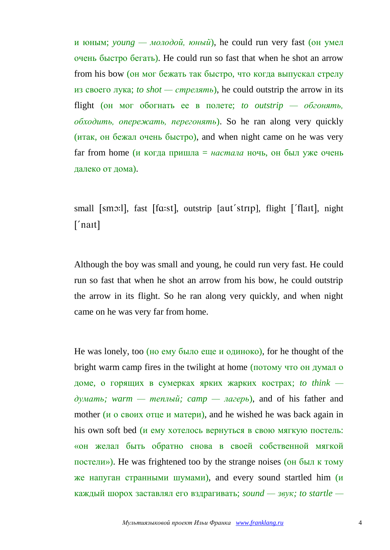и юным; *young — молодой, юный*), he could run very fast (он умел очень быстро бегать). He could run so fast that when he shot an arrow from his bow (он мог бежать так быстро, что когда выпускал стрелу из своего лука; *to shot — стрелять*), he could outstrip the arrow in its flight (он мог обогнать ее в полете; *to outstrip — обгонять, обходить, опережать, перегонять*). So he ran along very quickly (итак, он бежал очень быстро), and when night came on he was very far from home (и когда пришла = *настала* ночь, он был уже очень далеко от дома).

small [smo:], fast [fa:st], outstrip [aut'strip], flight ['flait], night  $[ 'nart ]$ 

Although the boy was small and young, he could run very fast. He could run so fast that when he shot an arrow from his bow, he could outstrip the arrow in its flight. So he ran along very quickly, and when night came on he was very far from home.

He was lonely, too (но ему было еще и одиноко), for he thought of the bright warm camp fires in the twilight at home (потому что он думал о доме, о горящих в сумерках ярких жарких кострах; *to think думать; warm — теплый; camp — лагерь*), and of his father and mother (и о своих отце и матери), and he wished he was back again in his own soft bed (и ему хотелось вернуться в свою мягкую постель: «он желал быть обратно снова в своей собственной мягкой постели»). He was frightened too by the strange noises (он был к тому же напуган странными шумами), and every sound startled him  $(u)$ каждый шорох заставлял его вздрагивать; *sound — звук; to startle —*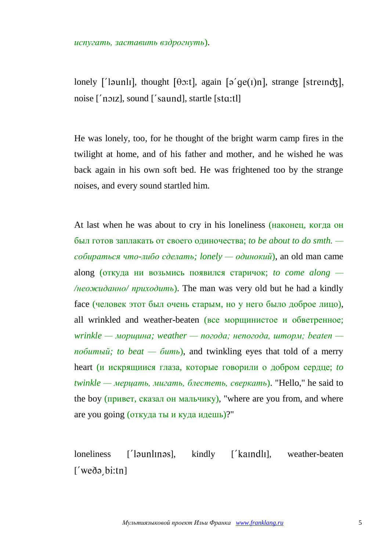*испугать, заставить вздрогнуть*).

lonely ['launli], thought  $[\theta x$ : degree  $[\theta x]$ , strange  $[\theta x]$ , noise  $[$ 'noiz], sound  $[$ 'saund], startle  $[stat!]$ 

He was lonely, too, for he thought of the bright warm camp fires in the twilight at home, and of his father and mother, and he wished he was back again in his own soft bed. He was frightened too by the strange noises, and every sound startled him.

At last when he was about to cry in his loneliness (наконец, когда он был готов заплакать от своего одиночества; *to be about to do smth. собираться что-либо сделать; lonely — одинокий*), an old man came along (откуда ни возьмись появился старичок; *to come along — /неожиданно/ приходить*). The man was very old but he had a kindly face (человек этот был очень старым, но у него было доброе лицо), all wrinkled and weather-beaten (все морщинистое и обветренное; *wrinkle — морщина; weather — погода; непогода, шторм; beaten побитый; to beat — бить*), and twinkling eyes that told of a merry heart (и искрящиися глаза, которые говорили о добром сердце; *to twinkle — мерцать, мигать, блестеть, сверкать*). "Hello," he said to the boy (привет, сказал он мальчику), "where are you from, and where are you going (откуда ты и куда идешь)?"

loneliness ['launlinas], kindly ['kaindli], weather-beaten  $\ulcorner$  wede bi:tn]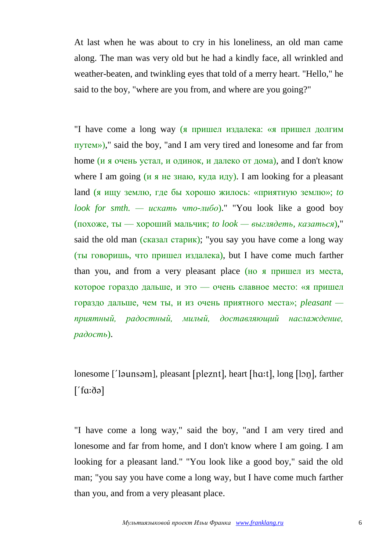At last when he was about to cry in his loneliness, an old man came along. The man was very old but he had a kindly face, all wrinkled and weather-beaten, and twinkling eyes that told of a merry heart. "Hello," he said to the boy, "where are you from, and where are you going?"

"I have come a long way (я пришел издалека: «я пришел долгим путем»)," said the boy, "and I am very tired and lonesome and far from home (и я очень устал, и одинок, и далеко от дома), and I don't know where I am going  $(\mu \bar{x})$  не знаю, куда иду). I am looking for a pleasant land (я ищу землю, где бы хорошо жилось: «приятную землю»; *to look for smth. — искать что-либо*)." "You look like a good boy (похоже, ты — хороший мальчик; *to look — выглядеть, казаться*)," said the old man (сказал старик); "you say you have come a long way (ты говоришь, что пришел издалека), but I have come much farther than you, and from a very pleasant place (но я пришел из места, которое гораздо дальше, и это — очень славное место: «я пришел гораздо дальше, чем ты, и из очень приятного места»; *pleasant приятный, радостный, милый, доставляющий наслаждение, радость*).

lonesome ['launsam], pleasant [pleznt], heart [hɑ:t], long [lɔŋ], farther  $[$  fa: $\delta$ ə]

"I have come a long way," said the boy, "and I am very tired and lonesome and far from home, and I don't know where I am going. I am looking for a pleasant land." "You look like a good boy," said the old man; "you say you have come a long way, but I have come much farther than you, and from a very pleasant place.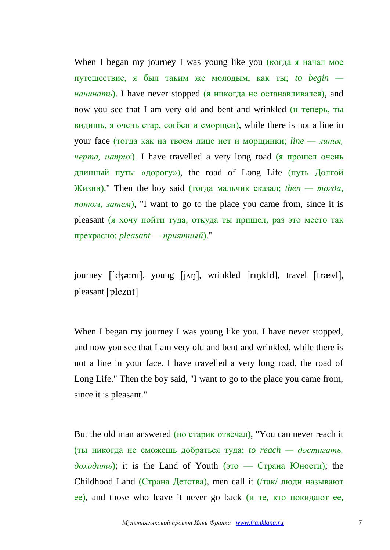When I began my journey I was young like you (когда я начал мое путешествие, я был таким же молодым, как ты; *to begin начинать*). I have never stopped (я никогда не останавливался), and now you see that I am very old and bent and wrinkled (и теперь, ты видишь, я очень стар, согбен и сморщен), while there is not a line in your face (тогда как на твоем лице нет и морщинки; *line — линия, черта, штрих*). I have travelled a very long road (я прошел очень длинный путь: «дорогу»), the road of Long Life (путь Долгой Жизни)." Then the boy said (тогда мальчик сказал; *then — тогда, потом, затем*), "I want to go to the place you came from, since it is pleasant (я хочу пойти туда, откуда ты пришел, раз это место так прекрасно; *pleasant — приятный*)."

journey  $[4\pi 3\pi]$ , young  $[\text{tan}], \text{winkled [rnkld]}, \text{travel [travl]},$ pleasant [pleznt]

When I began my journey I was young like you. I have never stopped, and now you see that I am very old and bent and wrinkled, while there is not a line in your face. I have travelled a very long road, the road of Long Life." Then the boy said, "I want to go to the place you came from, since it is pleasant."

But the old man answered (но старик отвечал), "You can never reach it (ты никогда не сможешь добраться туда; *to reach — достигать, доходить*); it is the Land of Youth (это — Страна Юности); the Childhood Land (Страна Детства), men call it (/так/ люди называют ее), and those who leave it never go back (и те, кто покидают ее,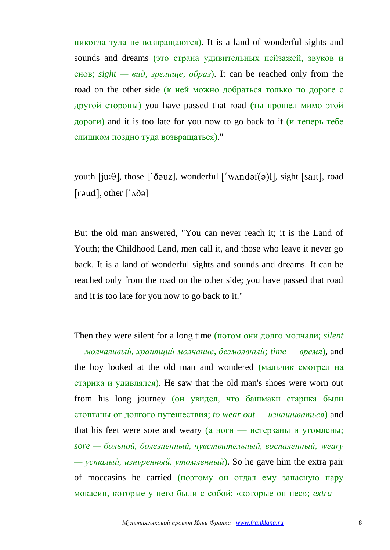никогда туда не возвращаются). It is a land of wonderful sights and sounds and dreams (это страна удивительных пейзажей, звуков и снов; *sight — вид, зрелище, образ*). It can be reached only from the road on the other side (к ней можно добраться только по дороге с другой стороны) you have passed that road (ты прошел мимо этой дороги) and it is too late for you now to go back to it (и теперь тебе слишком поздно туда возвращаться)."

youth , those [ ], wonderful , sight , road [raud], other  $['\Lambda\delta a]$ 

But the old man answered, "You can never reach it; it is the Land of Youth; the Childhood Land, men call it, and those who leave it never go back. It is a land of wonderful sights and sounds and dreams. It can be reached only from the road on the other side; you have passed that road and it is too late for you now to go back to it."

Then they were silent for a long time (потом они долго молчали; *silent — молчаливый, хранящий молчание, безмолвный; time — время*), and the boy looked at the old man and wondered (мальчик смотрел на старика и удивлялся). He saw that the old man's shoes were worn out from his long journey (он увидел, что башмаки старика были стоптаны от долгого путешествия; *to wear out — изнашиваться*) and that his feet were sore and weary  $(a \text{ HOTM})$  - истерзаны и утомлены; *sore — больной, болезненный, чувствительный, воспаленный; weary — усталый, изнуренный, утомленный*). So he gave him the extra pair of moccasins he carried (поэтому он отдал ему запасную пару мокасин, которые у него были с собой: «которые он нес»; *extra —*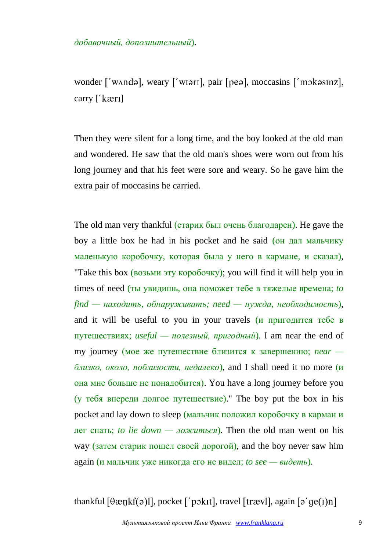*добавочный, дополнительный*).

wonder ['wanda], weary ['wiari], pair [pea], moccasins ['mokasinz], carry ['kærı]

Then they were silent for a long time, and the boy looked at the old man and wondered. He saw that the old man's shoes were worn out from his long journey and that his feet were sore and weary. So he gave him the extra pair of moccasins he carried.

The old man very thankful (старик был очень благодарен). He gave the boy a little box he had in his pocket and he said (он дал мальчику маленькую коробочку, которая была у него в кармане, и сказал), "Take this box (возьми эту коробочку); you will find it will help you in times of need (ты увидишь, она поможет тебе в тяжелые времена; *to find — находить, обнаруживать; need — нужда, необходимость*), and it will be useful to you in your travels (и пригодится тебе в путешествиях; *useful — полезный, пригодный*). I am near the end of my journey (мое же путешествие близится к завершению; *near близко, около, поблизости, недалеко*), and I shall need it no more (и она мне больше не понадобится). You have a long journey before you (у тебя впереди долгое путешествие)." The boy put the box in his pocket and lay down to sleep (мальчик положил коробочку в карман и лег спать; *to lie down — ложиться*). Then the old man went on his way (затем старик пошел своей дорогой), and the boy never saw him again (и мальчик уже никогда его не видел; *to see — видеть*).

thankful  $[\theta \infty]$ kf(a)l, pocket ['pɔkɪt], travel [tr $\infty$ vl], again  $[\theta' \circ (\theta)$ n]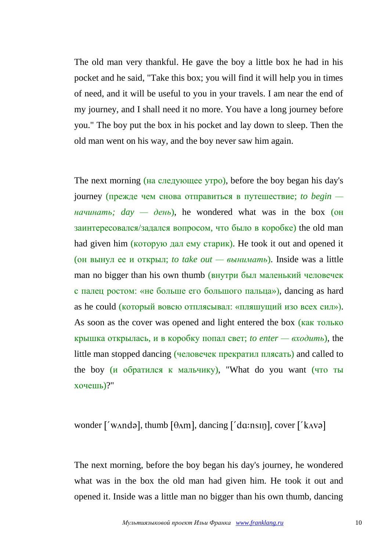The old man very thankful. He gave the boy a little box he had in his pocket and he said, "Take this box; you will find it will help you in times of need, and it will be useful to you in your travels. I am near the end of my journey, and I shall need it no more. You have a long journey before you." The boy put the box in his pocket and lay down to sleep. Then the old man went on his way, and the boy never saw him again.

The next morning (на следующее утро), before the boy began his day's journey (прежде чем снова отправиться в путешествие; *to begin начинать; day — день*), he wondered what was in the box (он заинтересовался/задался вопросом, что было в коробке) the old man had given him (которую дал ему старик). He took it out and opened it (он вынул ее и открыл; *to take out — вынимать*). Inside was a little man no bigger than his own thumb (внутри был маленький человечек с палец ростом: «не больше его большого пальца»), dancing as hard as he could (который вовсю отплясывал: «пляшущий изо всех сил»). As soon as the cover was opened and light entered the box (как только крышка открылась, и в коробку попал свет; *to enter — входить*), the little man stopped dancing (человечек прекратил плясать) and called to the boy (и обратился к мальчику), "What do you want (что ты хочешь)?"

wonder  $\lceil \n\rangle$  wandal, thumb  $\lceil \frac{\theta_{\text{AM}}}{\theta_{\text{am}}} \rceil$ , dancing  $\lceil \n\rceil$  da:nsin l, cover  $\lceil \n\rceil$  kaval

The next morning, before the boy began his day's journey, he wondered what was in the box the old man had given him. He took it out and opened it. Inside was a little man no bigger than his own thumb, dancing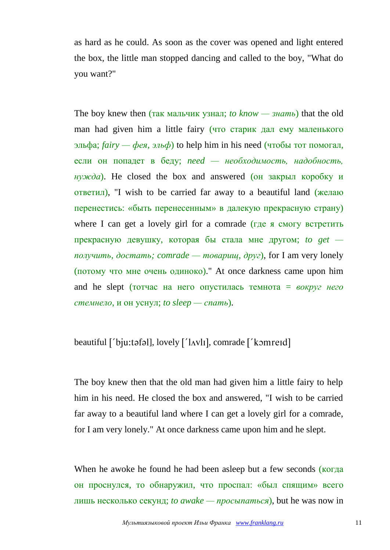as hard as he could. As soon as the cover was opened and light entered the box, the little man stopped dancing and called to the boy, "What do you want?"

The boy knew then (так мальчик узнал; *to know — знать*) that the old man had given him a little fairy (что старик дал ему маленького эльфа; *fairy — фея, эльф*) to help him in his need (чтобы тот помогал, если он попадет в беду; *need — необходимость, надобность, ). He closed the box and answered (он закрыл коробку и* ответил), "I wish to be carried far away to a beautiful land (желаю перенестись: «быть перенесенным» в далекую прекрасную страну) where I can get a lovely girl for a comrade (где я смогу встретить прекрасную девушку, которая бы стала мне другом; *to get получить, достать; comrade — товарищ, друг*), for I am very lonely (потому что мне очень одиноко)." At once darkness came upon him and he slept (тотчас на него опустилась темнота = *вокруг него стемнело*, и он уснул; *to sleep — спать*).

# beautiful ['bju:təfəl], lovely ['lʌvlɪ], comrade ['kɔmreɪd]

The boy knew then that the old man had given him a little fairy to help him in his need. He closed the box and answered, "I wish to be carried far away to a beautiful land where I can get a lovely girl for a comrade, for I am very lonely." At once darkness came upon him and he slept.

When he awoke he found he had been asleep but a few seconds (когда он проснулся, то обнаружил, что проспал: «был спящим» всего лишь несколько секунд; *to awake — просыпаться*), but he was now in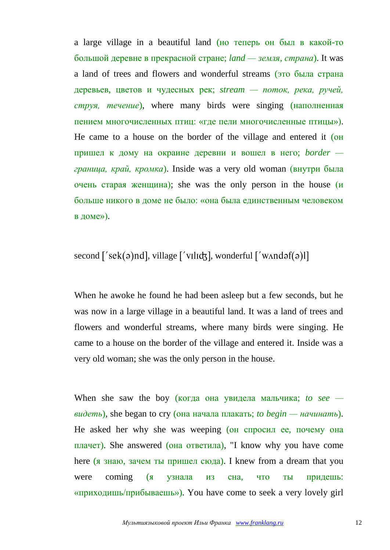a large village in a beautiful land (но теперь он был в какой-то большой деревне в прекрасной стране; *land — земля, страна*). It was a land of trees and flowers and wonderful streams (это была страна деревьев, цветов и чудесных рек; *stream — поток, река, ручей, струя, течение*), where many birds were singing (наполненная пением многочисленных птиц: «где пели многочисленные птицы»). He came to a house on the border of the village and entered it (OH пришел к дому на окраине деревни и вошел в него; *border граница, край, кромка*). Inside was a very old woman (внутри была очень старая женщина); she was the only person in the house  $(u)$ больше никого в доме не было: «она была единственным человеком в доме»).

## second  $\lceil$ 'sek(a)nd], village  $\lceil$ 'vilidz], wonderful  $\lceil$ 'w $\land$ ndaf(a)l]

When he awoke he found he had been asleep but a few seconds, but he was now in a large village in a beautiful land. It was a land of trees and flowers and wonderful streams, where many birds were singing. He came to a house on the border of the village and entered it. Inside was a very old woman; she was the only person in the house.

When she saw the boy (когда она увидела мальчика; *to see видеть*), she began to cry (она начала плакать; *to begin — начинать*). He asked her why she was weeping (он спросил ее, почему она плачет). She answered (она ответила), "I know why you have come here (я знаю, зачем ты пришел сюда). I knew from a dream that you were coming (я узнала из сна, что ты придешь: «приходишь/прибываешь»). You have come to seek a very lovely girl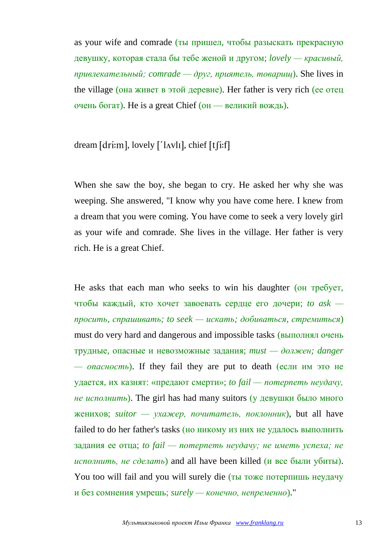as your wife and comrade (ты пришел, чтобы разыскать прекрасную девушку, которая стала бы тебе женой и другом; *lovely — красивый, привлекательный; comrade — друг, приятель, товарищ*). She lives in the village (она живет в этой деревне). Her father is very rich (ее отец очень богат). He is a great Chief (он — великий вождь).

# dream [dri:m], lovely  $[ '$  lovl $]$ , chief  $[$ t $|$ i:f]

When she saw the boy, she began to cry. He asked her why she was weeping. She answered, "I know why you have come here. I knew from a dream that you were coming. You have come to seek a very lovely girl as your wife and comrade. She lives in the village. Her father is very rich. He is a great Chief.

He asks that each man who seeks to win his daughter (он требует, чтобы каждый, кто хочет завоевать сердце его дочери; *to ask просить, спрашивать; to seek — искать; добиваться, стремиться*) must do very hard and dangerous and impossible tasks (выполнял очень трудные, опасные и невозможные задания; *must — должен; danger — опасность*). If they fail they are put to death (если им это не удается, их казнят: «предают смерти»; *to fail — потерпеть неудачу, не исполнить*). The girl has had many suitors (у девушки было много женихов; *suitor — ухажер, почитатель, поклонник*), but all have failed to do her father's tasks (но никому из них не удалось выполнить задания ее отца; *to fail — потерпеть неудачу; не иметь успеха; не исполнить, не сделать*) and all have been killed (и все были убиты). You too will fail and you will surely die (ты тоже потерпишь неудачу и без сомнения умрешь; *surely — конечно, непременно*)."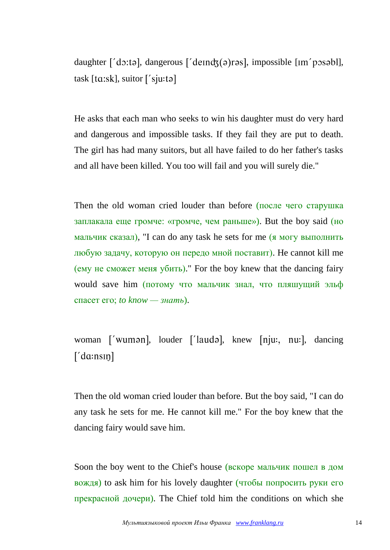daughter  $\lceil \text{d} \cdot \text{d} \cdot \text{d} \cdot \text{d}$ , dangerous  $\lceil \text{d} \cdot \text{d} \cdot \text{d} \cdot \text{d} \cdot \text{d} \cdot \text{d} \cdot \text{d} \cdot \text{d} \cdot \text{d} \cdot \text{d} \cdot \text{d} \cdot \text{d} \cdot \text{d} \cdot \text{d} \cdot \text{d} \cdot \text{d} \cdot \text{d} \cdot \text{d} \cdot \text{d} \cdot \text{d} \cdot \text{d} \cdot \text{d} \cdot \text{d} \cdot \text{d$ task  $[ta:sk]$ , suitor  $['sju:tə]$ 

He asks that each man who seeks to win his daughter must do very hard and dangerous and impossible tasks. If they fail they are put to death. The girl has had many suitors, but all have failed to do her father's tasks and all have been killed. You too will fail and you will surely die."

Then the old woman cried louder than before (после чего старушка заплакала еще громче: «громче, чем раньше»). But the boy said (но мальчик сказал), "I can do any task he sets for me (я могу выполнить любую задачу, которую он передо мной поставит). He cannot kill me (ему не сможет меня убить)." For the boy knew that the dancing fairy would save him (потому что мальчик знал, что пляшущий эльф спасет его; *to know — знать*).

woman ['wuman], louder ['lauda], knew [nju:, nu:], dancing  $['d\alpha:ns\eta]$ 

Then the old woman cried louder than before. But the boy said, "I can do any task he sets for me. He cannot kill me." For the boy knew that the dancing fairy would save him.

Soon the boy went to the Chief's house (вскоре мальчик пошел в дом вождя) to ask him for his lovely daughter (чтобы попросить руки его прекрасной дочери). The Chief told him the conditions on which she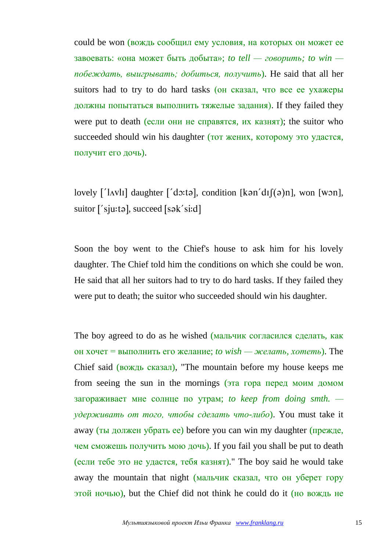could be won (вождь сообщил ему условия, на которых он может ее завоевать: «она может быть добыта»; *to tell — говорить; to win побеждать, выигрывать; добиться, получить*). He said that all her suitors had to try to do hard tasks (он сказал, что все ее ухажеры должны попытаться выполнить тяжелые задания). If they failed they were put to death (если они не справятся, их казнят); the suitor who succeeded should win his daughter (тот жених, которому это удастся, получит его дочь).

lovely [' $\lceil \Delta v \rceil$ ] daughter ['do:tə], condition [kən'dɪ $\lceil (\sigma) \rceil$ ], won [won], suitor  $\lceil$ 'sju:ta], succeed  $\lceil$ sak'si:d]

Soon the boy went to the Chief's house to ask him for his lovely daughter. The Chief told him the conditions on which she could be won. He said that all her suitors had to try to do hard tasks. If they failed they were put to death; the suitor who succeeded should win his daughter.

The boy agreed to do as he wished (мальчик согласился сделать, как он хочет = выполнить его желание; *to wish — желать, хотеть*). The Chief said (вождь сказал), "The mountain before my house keeps me from seeing the sun in the mornings (эта гора перед моим домом загораживает мне солнце по утрам; *to keep from doing smth. удерживать от того, чтобы сделать что-либо*). You must take it away (ты должен убрать ее) before you can win my daughter (прежде, чем сможешь получить мою дочь). If you fail you shall be put to death (если тебе это не удастся, тебя казнят)." The boy said he would take away the mountain that night (мальчик сказал, что он уберет гору этой ночью), but the Chief did not think he could do it (но вождь не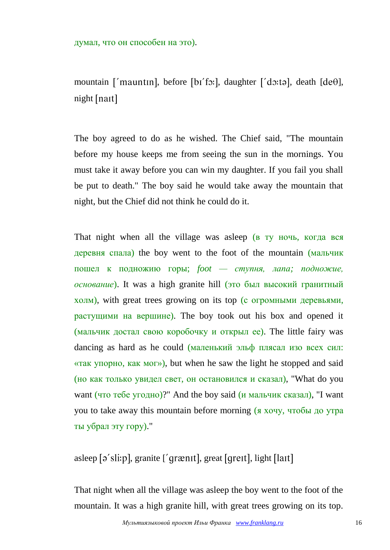думал, что он способен на это).

mountain ['mauntin], before [bi'fɔ:], daughter ['dɔ:tə], death [ $de\theta$ ], night [nait]

The boy agreed to do as he wished. The Chief said, "The mountain before my house keeps me from seeing the sun in the mornings. You must take it away before you can win my daughter. If you fail you shall be put to death." The boy said he would take away the mountain that night, but the Chief did not think he could do it.

That night when all the village was asleep (в ту ночь, когда вся деревня спала) the boy went to the foot of the mountain (мальчик пошел к подножию горы; *foot — ступня, лапа; подножие, основание*). It was a high granite hill (это был высокий гранитный холм), with great trees growing on its top (с огромными деревьями, растущими на вершине). The boy took out his box and opened it (мальчик достал свою коробочку и открыл ее). The little fairy was dancing as hard as he could (маленький эльф плясал изо всех сил: «так упорно, как мог»), but when he saw the light he stopped and said (но как только увидел свет, он остановился и сказал), "What do you want (что тебе угодно)?" And the boy said (и мальчик сказал), "I want you to take away this mountain before morning (я хочу, чтобы до утра ты убрал эту гору)."

asleep  $\lceil \rho' \text{s} \rceil$ ; granite  $\lceil \text{grant} \rceil$ , great  $\lceil \text{grent} \rceil$ , light  $\lceil \text{lat} \rceil$ 

That night when all the village was asleep the boy went to the foot of the mountain. It was a high granite hill, with great trees growing on its top.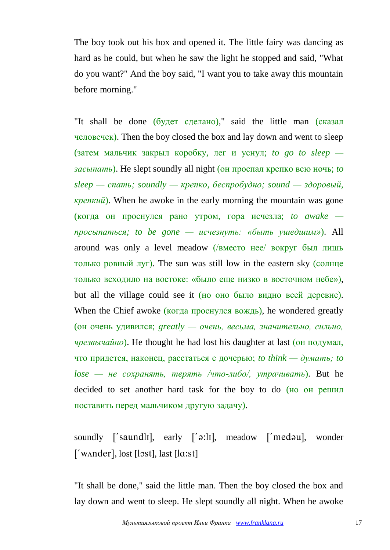The boy took out his box and opened it. The little fairy was dancing as hard as he could, but when he saw the light he stopped and said, "What do you want?" And the boy said, "I want you to take away this mountain before morning."

"It shall be done (будет сделано)," said the little man (сказал человечек). Then the boy closed the box and lay down and went to sleep (затем мальчик закрыл коробку, лег и уснул; *to go to sleep засыпать*). He slept soundly all night (он проспал крепко всю ночь; *to sleep — спать; soundly — крепко, беспробудно; sound — здоровый, крепкий*). When he awoke in the early morning the mountain was gone (когда он проснулся рано утром, гора исчезла; *to awake просыпаться; to be gone — исчезнуть: «быть ушедшим»*). All around was only a level meadow (/вместо нее/ вокруг был лишь только ровный луг). The sun was still low in the eastern sky (солнце только всходило на востоке: «было еще низко в восточном небе»), but all the village could see it (но оно было видно всей деревне). When the Chief awoke (когда проснулся вождь), he wondered greatly (он очень удивился; *greatly — очень, весьма, значительно, сильно, чрезвычайно*). He thought he had lost his daughter at last (он подумал, что придется, наконец, расстаться с дочерью; *to think — думать; to lose — не сохранять, терять /что-либо/, утрачивать*). But he decided to set another hard task for the boy to do (но он решил поставить перед мальчиком другую задачу).

soundly ['saundli], early ['a:li], meadow ['medau], wonder  $\lceil$ ' wander], lost  $\lceil$ lost], last  $\lceil$ la:st]

"It shall be done," said the little man. Then the boy closed the box and lay down and went to sleep. He slept soundly all night. When he awoke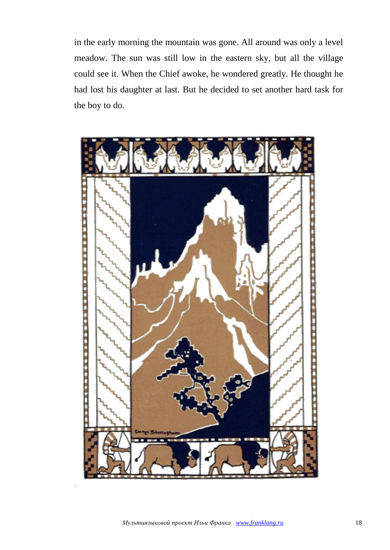in the early morning the mountain was gone. All around was only a level meadow. The sun was still low in the eastern sky, but all the village could see it. When the Chief awoke, he wondered greatly. He thought he had lost his daughter at last. But he decided to set another hard task for the boy to do.

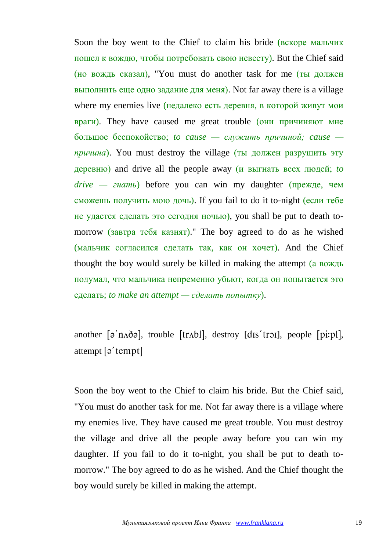Soon the boy went to the Chief to claim his bride (вскоре мальчик пошел к вождю, чтобы потребовать свою невесту). But the Chief said (но вождь сказал), "You must do another task for me (ты должен выполнить еще одно задание для меня). Not far away there is a village where my enemies live (недалеко есть деревня, в которой живут мои враги). They have caused me great trouble (они причиняют мне большое беспокойство; *to cause — служить причиной; cause причина*). You must destroy the village (ты должен разрушить эту деревню) and drive all the people away (и выгнать всех людей; *to drive — гнать*) before you can win my daughter (прежде, чем сможешь получить мою дочь). If you fail to do it to-night (если тебе не удастся сделать это сегодня ночью), you shall be put to death tomorrow (завтра тебя казнят)." The boy agreed to do as he wished (мальчик согласился сделать так, как он хочет). And the Chief thought the boy would surely be killed in making the attempt (а вождь подумал, что мальчика непременно убьют, когда он попытается это сделать; *to make an attempt — сделать попытку*).

another  $\lceil \frac{\alpha}{\text{max}} \rceil$ , trouble  $\lceil \frac{\text{tr}}{\text{min}} \rceil$ , destroy  $\lceil \text{dist}(\rceil \text{tr}) \rceil$ , people  $\lceil \text{pi:pl} \rceil$ , attempt [a'tempt]

Soon the boy went to the Chief to claim his bride. But the Chief said, "You must do another task for me. Not far away there is a village where my enemies live. They have caused me great trouble. You must destroy the village and drive all the people away before you can win my daughter. If you fail to do it to-night, you shall be put to death tomorrow." The boy agreed to do as he wished. And the Chief thought the boy would surely be killed in making the attempt.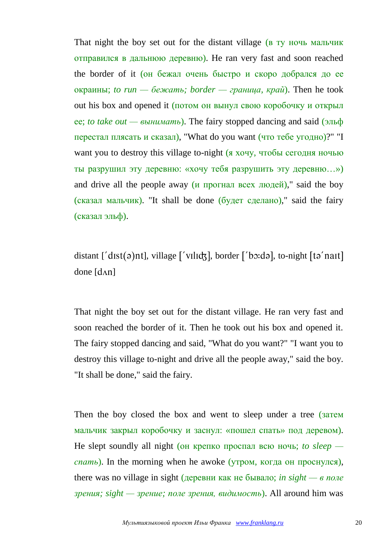That night the boy set out for the distant village (в ту ночь мальчик отправился в дальнюю деревню). He ran very fast and soon reached the border of it (он бежал очень быстро и скоро добрался до ее окраины; *to run — бежать; border — граница, край*). Then he took out his box and opened it (потом он вынул свою коробочку и открыл ее; *to take out — вынимать*). The fairy stopped dancing and said (эльф перестал плясать и сказал), "What do you want (что тебе угодно)?" "I want you to destroy this village to-night (я хочу, чтобы сегодня ночью ты разрушил эту деревню: «хочу тебя разрушить эту деревню…») and drive all the people away  $(\mu$  прогнал всех людей)," said the boy (сказал мальчик). "It shall be done (будет сделано)," said the fairy (сказал эльф).

distant  $\lceil \dot{d} \rceil$  dist(a)nt, village  $\lceil \dot{d} \rceil$ , border  $\lceil \dot{d} \rceil$ , to-night  $\lceil \dot{d} \rceil$  nait done [dʌn]

That night the boy set out for the distant village. He ran very fast and soon reached the border of it. Then he took out his box and opened it. The fairy stopped dancing and said, "What do you want?" "I want you to destroy this village to-night and drive all the people away," said the boy. "It shall be done," said the fairy.

Then the boy closed the box and went to sleep under a tree (затем мальчик закрыл коробочку и заснул: «пошел спать» под деревом). He slept soundly all night (он крепко проспал всю ночь; *to sleep спать*). In the morning when he awoke (утром, когда он проснулся), there was no village in sight (деревни как не бывало; *in sight — в поле зрения; sight — зрение; поле зрения, видимость*). All around him was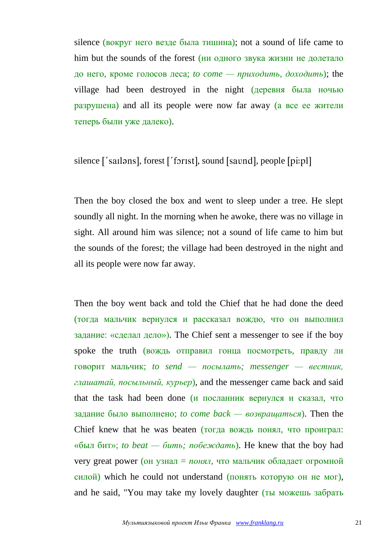silence (вокруг него везде была тишина); not a sound of life came to him but the sounds of the forest (ни одного звука жизни не долетало до него, кроме голосов леса; *to come — приходить, доходить*); the village had been destroyed in the night (деревня была ночью разрушена) and all its people were now far away (а все ее жители теперь были уже далеко).

## silence ['sailəns], forest ['forist], sound [saving], people [pi:pl]

Then the boy closed the box and went to sleep under a tree. He slept soundly all night. In the morning when he awoke, there was no village in sight. All around him was silence; not a sound of life came to him but the sounds of the forest; the village had been destroyed in the night and all its people were now far away.

Then the boy went back and told the Chief that he had done the deed (тогда мальчик вернулся и рассказал вождю, что он выполнил задание: «сделал дело»). The Chief sent a messenger to see if the boy spoke the truth (вождь отправил гонца посмотреть, правду ли говорит мальчик; *to send — посылать; messenger — вестник, глашатай, посыльный, курьер*), and the messenger came back and said that the task had been done (и посланник вернулся и сказал, что задание было выполнено; *to come back — возвращаться*). Then the Chief knew that he was beaten (тогда вождь понял, что проиграл: «был бит»; *to beat — бить; побеждать*). He knew that the boy had very great power (он узнал = *понял*, что мальчик обладает огромной силой) which he could not understand (понять которую он не мог), and he said, "You may take my lovely daughter (ты можешь забрать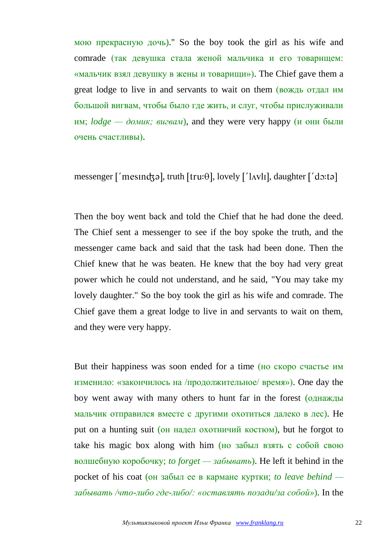мою прекрасную дочь)." So the boy took the girl as his wife and comrade (так девушка стала женой мальчика и его товарищем: «мальчик взял девушку в жены и товарищи»). The Chief gave them a great lodge to live in and servants to wait on them (вождь отдал им большой вигвам, чтобы было где жить, и слуг, чтобы прислуживали им;  $\log e - \partial \omega$ иик; вигвам), and they were very happy (и они были очень счастливы).

messenger  $\lceil \text{′mesind} \cdot \sigma \rceil$ , truth  $\lceil \text{tru} \cdot \theta \rceil$ , lovely  $\lceil \text{′lavl} \cdot \text{ln} \cdot \sigma \rceil$ , daughter  $\lceil \text{′d} \cdot \sigma \cdot \sigma \rceil$ 

Then the boy went back and told the Chief that he had done the deed. The Chief sent a messenger to see if the boy spoke the truth, and the messenger came back and said that the task had been done. Then the Chief knew that he was beaten. He knew that the boy had very great power which he could not understand, and he said, "You may take my lovely daughter." So the boy took the girl as his wife and comrade. The Chief gave them a great lodge to live in and servants to wait on them, and they were very happy.

But their happiness was soon ended for a time (но скоро счастье им изменило: «закончилось на /продолжительное/ время»). One day the boy went away with many others to hunt far in the forest (однажды мальчик отправился вместе с другими охотиться далеко в лес). He put on a hunting suit (он надел охотничий костюм), but he forgot to take his magic box along with him (но забыл взять с собой свою волшебную коробочку; *to forget — забывать*). He left it behind in the pocket of his coat (он забыл ее в кармане куртки; *to leave behind забывать /что-либо где-либо/: «оставлять позади/за собой»*). In the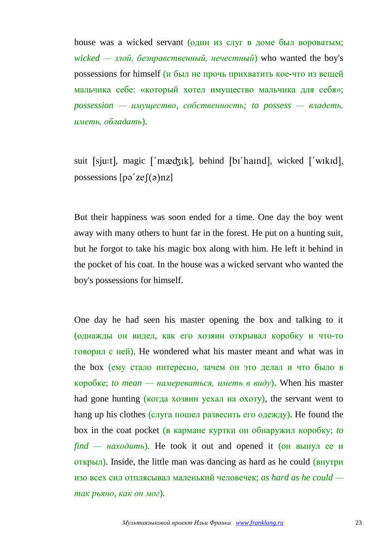house was a wicked servant (один из слуг в доме был вороватым; *wicked — злой, безнравственный, нечестный*) who wanted the boy's possessions for himself (и был не прочь прихватить кое-что из вещей мальчика себе: «который хотел имущество мальчика для себя»; *possession — имущество, собственность; to possess — владеть, иметь, обладать*).

suit [sju:t], magic ['mædʒɪk], behind [bɪ'haɪnd], wicked ['wɪkɪd], possessions  $[pq'ze](q)nz$ 

But their happiness was soon ended for a time. One day the boy went away with many others to hunt far in the forest. He put on a hunting suit, but he forgot to take his magic box along with him. He left it behind in the pocket of his coat. In the house was a wicked servant who wanted the boy's possessions for himself.

One day he had seen his master opening the box and talking to it (однажды он видел, как его хозяин открывал коробку и что-то говорил с ней). He wondered what his master meant and what was in the box (ему стало интересно, зачем он это делал и что было в коробке; *to mean — намереваться, иметь в виду*). When his master had gone hunting (когда хозяин уехал на охоту), the servant went to hang up his clothes (слуга пошел развесить его одежду). He found the box in the coat pocket (в кармане куртки он обнаружил коробку; *to find — находить*). He took it out and opened it (он вынул ее и открыл). Inside, the little man was dancing as hard as he could (внутри изо всех сил отплясывал маленький человечек; *as hard as he could так рьяно, как он мог*).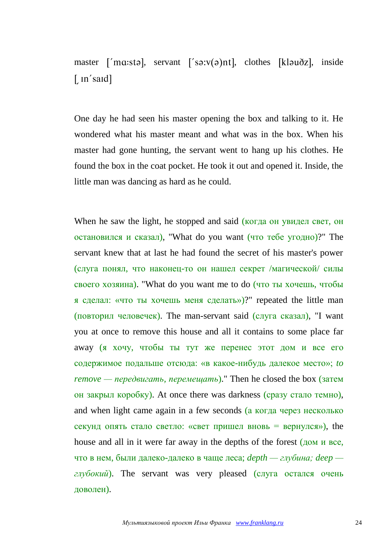master ['mɑ:stə], servant ['sə:v(ə)nt], clothes [kləuðz], inside  $\left[ \right.$  in'said]

One day he had seen his master opening the box and talking to it. He wondered what his master meant and what was in the box. When his master had gone hunting, the servant went to hang up his clothes. He found the box in the coat pocket. He took it out and opened it. Inside, the little man was dancing as hard as he could.

When he saw the light, he stopped and said (когда он увидел свет, он остановился и сказал), "What do you want (что тебе угодно)?" The servant knew that at last he had found the secret of his master's power (слуга понял, что наконец-то он нашел секрет /магической/ силы своего хозяина). "What do you want me to do (что ты хочешь, чтобы я сделал: «что ты хочешь меня сделать»)?" repeated the little man (повторил человечек). The man-servant said (слуга сказал), "I want you at once to remove this house and all it contains to some place far away (я хочу, чтобы ты тут же перенес этот дом и все его содержимое подальше отсюда: «в какое-нибудь далекое место»; *to remove — передвигать, перемещать*)." Then he closed the box (затем он закрыл коробку). At once there was darkness (сразу стало темно), and when light came again in a few seconds (а когда через несколько секунд опять стало светло: «свет пришел вновь = вернулся»), the house and all in it were far away in the depths of the forest (дом и все, что в нем, были далеко-далеко в чаще леса; *depth — глубина; deep глубокий*). The servant was very pleased (слуга остался очень доволен).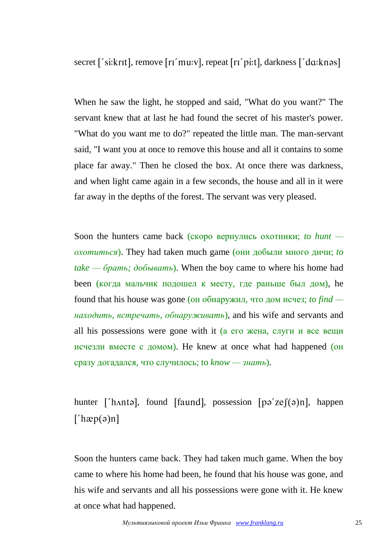secret ['si:krɪt], remove [rɪ'mu:v], repeat [rɪ'pi:t], darkness ['dɑ:knəs]

When he saw the light, he stopped and said, "What do you want?" The servant knew that at last he had found the secret of his master's power. "What do you want me to do?" repeated the little man. The man-servant said, "I want you at once to remove this house and all it contains to some place far away." Then he closed the box. At once there was darkness, and when light came again in a few seconds, the house and all in it were far away in the depths of the forest. The servant was very pleased.

Soon the hunters came back (скоро вернулись охотники; *to hunt охотиться*). They had taken much game (они добыли много дичи; *to take — брать; добывать*). When the boy came to where his home had been (когда мальчик подошел к месту, где раньше был дом), he found that his house was gone (он обнаружил, что дом исчез; *to find находить, встречать, обнаруживать*), and his wife and servants and all his possessions were gone with it (а его жена, слуги и все вещи исчезли вместе с домом). He knew at once what had happened (он сразу догадался, что случилось; to *know — знать*).

hunter ['hʌntə], found [faund], possession  $[pq'zef(q)n]$ , happen  $\lceil \text{hæp}(\mathsf{a})\text{n} \rceil$ 

Soon the hunters came back. They had taken much game. When the boy came to where his home had been, he found that his house was gone, and his wife and servants and all his possessions were gone with it. He knew at once what had happened.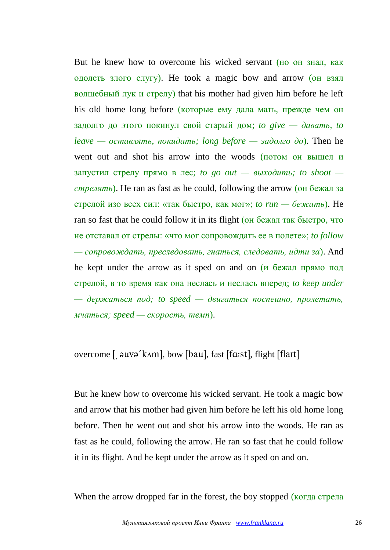But he knew how to overcome his wicked servant (но он знал, как одолеть злого слугу). He took a magic bow and arrow (он взял волшебный лук и стрелу) that his mother had given him before he left his old home long before (которые ему дала мать, прежде чем он задолго до этого покинул свой старый дом; *to give — давать, to leave — оставлять, покидать; long before — задолго до*). Then he went out and shot his arrow into the woods (потом он вышел и запустил стрелу прямо в лес; *to go out — выходить*; *to shoot стрелять*). He ran as fast as he could, following the arrow (он бежал за стрелой изо всех сил: «так быстро, как мог»; *to run — бежать*). He ran so fast that he could follow it in its flight (он бежал так быстро, что не отставал от стрелы: «что мог сопровождать ее в полете»; *to follow — сопровождать, преследовать, гнаться, следовать, идти за*). And he kept under the arrow as it sped on and on (и бежал прямо под стрелой, в то время как она неслась и неслась вперед; *to keep under — держаться под; to speed — двигаться поспешно, пролетать, мчаться; speed — скорость, темп*).

overcome  $\lceil$  auva' k $\Delta$ m, bow  $\lceil$ bau, fast  $\lceil$ fa:st, flight  $\lceil$ flait $\rceil$ 

But he knew how to overcome his wicked servant. He took a magic bow and arrow that his mother had given him before he left his old home long before. Then he went out and shot his arrow into the woods. He ran as fast as he could, following the arrow. He ran so fast that he could follow it in its flight. And he kept under the arrow as it sped on and on.

When the arrow dropped far in the forest, the boy stopped (когда стрела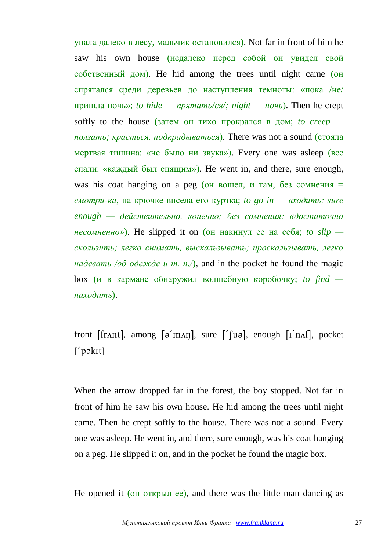упала далеко в лесу, мальчик остановился). Not far in front of him he saw his own house (недалеко перед собой он увидел свой собственный дом). He hid among the trees until night came (он спрятался среди деревьев до наступления темноты: «пока /не/ пришла ночь»; *to hide — прятать/ся/; night — ночь*). Then he crept softly to the house (затем он тихо прокрался в дом; *to creep ползать; красться, подкрадываться*). There was not a sound (стояла мертвая тишина: «не было ни звука»). Every one was asleep (все спали: «каждый был спящим»). He went in, and there, sure enough, was his coat hanging on a peg (он вошел, и там, без сомнения  $=$ *смотри-ка*, на крючке висела его куртка; *to go in — входить; sure enough — действительно, конечно; без сомнения: «достаточно несомненно»*). Не slipped it on (он накинул ее на себя; *to slip скользить; легко снимать, выскальзывать; проскальзывать, легко надевать /об одежде и т. п./*), and in the pocket he found the magic box (и в кармане обнаружил волшебную коробочку; *to find находить*).

front [fr $\Lambda$ nt], among [ə'm $\Lambda$ n], sure [' $\lceil \mu$ ə], enough [i'n $\Lambda$ f], pocket  $['pokit]$ 

When the arrow dropped far in the forest, the boy stopped. Not far in front of him he saw his own house. He hid among the trees until night came. Then he crept softly to the house. There was not a sound. Every one was asleep. He went in, and there, sure enough, was his coat hanging on a peg. He slipped it on, and in the pocket he found the magic box.

He opened it (он открыл ее), and there was the little man dancing as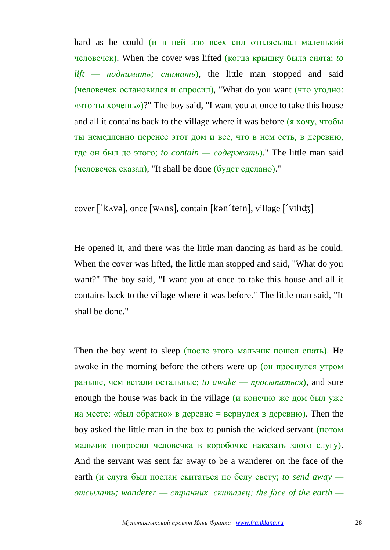hard as he could (и в ней изо всех сил отплясывал маленький человечек). When the cover was lifted (когда крышку была снята; *to lift — поднимать; снимать*), the little man stopped and said (человечек остановился и спросил), "What do you want (что угодно: «что ты хочешь»)?" The boy said, "I want you at once to take this house and all it contains back to the village where it was before (я хочу, чтобы ты немедленно перенес этот дом и все, что в нем есть, в деревню, где он был до этого; *to contain — содержать*)." The little man said (человечек сказал), "It shall be done (будет сделано)."

cover ['kʌvə], once [wʌns], contain [kən'teɪn], village ['vɪlɪdʒ]

He opened it, and there was the little man dancing as hard as he could. When the cover was lifted, the little man stopped and said, "What do you want?" The boy said, "I want you at once to take this house and all it contains back to the village where it was before." The little man said, "It shall be done."

Then the boy went to sleep (после этого мальчик пошел спать). He awoke in the morning before the others were up (он проснулся утром раньше, чем встали остальные; *to awake — просыпаться*), and sure enough the house was back in the village (и конечно же дом был уже на месте: «был обратно» в деревне = вернулся в деревню). Then the boy asked the little man in the box to punish the wicked servant (потом мальчик попросил человечка в коробочке наказать злого слугу). And the servant was sent far away to be a wanderer on the face of the earth (и слуга был послан скитаться по белу свету; *to send away отсылать; wanderer — странник, скиталец; the face of the earth —*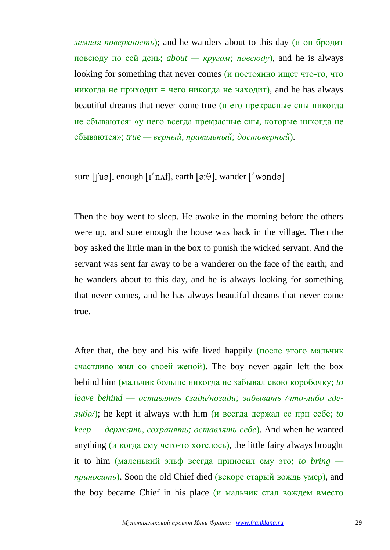*земная поверхность*); and he wanders about to this day (и он бродит повсюду по сей день; *about — кругом; повсюду*), and he is always looking for something that never comes (и постоянно ищет что-то, что никогда не приходит = чего никогда не находит), and he has always beautiful dreams that never come true (и его прекрасные сны никогда не сбываются: «у него всегда прекрасные сны, которые никогда не сбываются»; *true — верный, правильный; достоверный*).

## sure  $\lceil \text{uə} \rceil$ , enough  $\lceil \text{r'nafl} \rceil$ , earth  $\lceil \text{a:0} \rceil$ , wander  $\lceil \text{'wonda} \rceil$

Then the boy went to sleep. He awoke in the morning before the others were up, and sure enough the house was back in the village. Then the boy asked the little man in the box to punish the wicked servant. And the servant was sent far away to be a wanderer on the face of the earth; and he wanders about to this day, and he is always looking for something that never comes, and he has always beautiful dreams that never come true.

After that, the boy and his wife lived happily (после этого мальчик счастливо жил со своей женой). The boy never again left the box behind him (мальчик больше никогда не забывал свою коробочку; *to leave behind — оставлять cзади/позади; забывать /что-либо гделибо/*); he kept it always with him (и всегда держал ее при себе; *to keep — держать, сохранять; оставлять себе*). And when he wanted anything (и когда ему чего-то хотелось), the little fairy always brought it to him (маленький эльф всегда приносил ему это; *to bring приносить*). Soon the old Chief died (вскоре старый вождь умер), and the boy became Chief in his place (и мальчик стал вождем вместо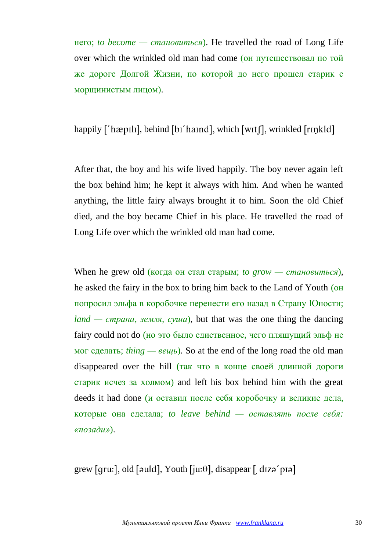него; *to become — становиться*). He travelled the road of Long Life over which the wrinkled old man had come (он путешествовал по той же дороге Долгой Жизни, по которой до него прошел старик с морщинистым лицом).

happily  $\lceil \cdot \rceil$  happill, behind  $\lceil \cdot \rceil$  hand, which  $\lceil \cdot \rceil$ , wrinkled  $\lceil \cdot \rceil$  happilly  $\lceil \cdot \rceil$ 

After that, the boy and his wife lived happily. The boy never again left the box behind him; he kept it always with him. And when he wanted anything, the little fairy always brought it to him. Soon the old Chief died, and the boy became Chief in his place. He travelled the road of Long Life over which the wrinkled old man had come.

When he grew old (когда он стал старым; *to grow — становиться*), he asked the fairy in the box to bring him back to the Land of Youth (OH) попросил эльфа в коробочке перенести его назад в Страну Юности; *land — страна, земля, суша*), but that was the one thing the dancing fairy could not do (но это было едиственное, чего пляшущий эльф не мог сделать; *thing — вещь*). So at the end of the long road the old man disappeared over the hill (так что в конце своей длинной дороги старик исчез за холмом) and left his box behind him with the great deeds it had done (*и* оставил после себя коробочку и великие дела, которые она сделала; *to leave behind — оставлять после себя: «позади»*).

grew [gru:], old [əuld], Youth [ju: $\theta$ ], disappear [dizə'piə]